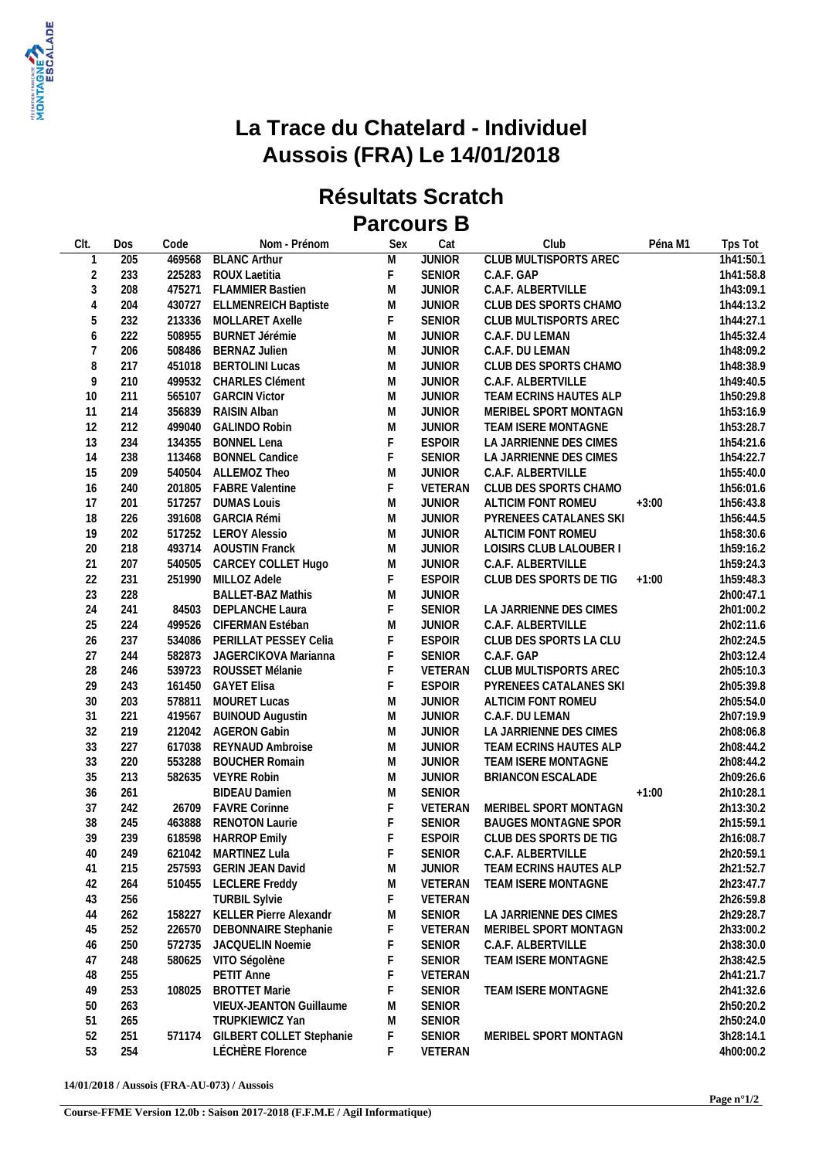

## **La Trace du Chatelard - Individuel Aussois (FRA) Le 14/01/2018**

## **Résultats Scratch Parcours B**

| Clt.                     | Dos        | Code   | Nom - Prénom                       | Sex         | Cat           | Club                                            | Péna M1 | Tps Tot                |
|--------------------------|------------|--------|------------------------------------|-------------|---------------|-------------------------------------------------|---------|------------------------|
| $\mathbf{1}$             | 205        |        | 469568 BLANC Arthur                | M           | <b>JUNIOR</b> | <b>CLUB MULTISPORTS AREC</b>                    |         | 1h41:50.1              |
| $\overline{2}$           | 233        |        | 225283 ROUX Laetitia               | $\mathsf F$ | <b>SENIOR</b> | C.A.F. GAP                                      |         | 1h41:58.8              |
| $\mathfrak{Z}$           | 208        |        | 475271 FLAMMIER Bastien            | M           | <b>JUNIOR</b> | C.A.F. ALBERTVILLE                              |         | 1h43:09.1              |
| $\overline{4}$           | 204        |        | 430727 ELLMENREICH Baptiste        | M           | <b>JUNIOR</b> | CLUB DES SPORTS CHAMO                           |         | 1h44:13.2              |
| 5                        | 232        |        | 213336 MOLLARET Axelle             | F           | <b>SENIOR</b> | CLUB MULTISPORTS AREC                           |         | 1h44:27.1              |
| 6                        | 222        |        | 508955 BURNET Jérémie              | M           | <b>JUNIOR</b> | C.A.F. DU LEMAN                                 |         | 1h45:32.4              |
| $\overline{\mathcal{I}}$ | 206        |        | 508486 BERNAZ Julien               | ${\sf M}$   | <b>JUNIOR</b> | C.A.F. DU LEMAN                                 |         | 1h48:09.2              |
| 8                        | 217        |        | 451018 BERTOLINI Lucas             | M           | <b>JUNIOR</b> | CLUB DES SPORTS CHAMO                           |         | 1h48:38.9              |
| 9                        | 210        |        | 499532 CHARLES Clément             | M           | <b>JUNIOR</b> | C.A.F. ALBERTVILLE                              |         | 1h49:40.5              |
| 10                       | 211        | 565107 | <b>GARCIN Victor</b>               | M           | <b>JUNIOR</b> | TEAM ECRINS HAUTES ALP                          |         | 1h50:29.8              |
| 11                       | 214        |        | 356839 RAISIN Alban                | M           | <b>JUNIOR</b> | MERIBEL SPORT MONTAGN                           |         | 1h53:16.9              |
| 12                       | 212        | 499040 | <b>GALINDO Robin</b>               | M           | <b>JUNIOR</b> | TEAM ISERE MONTAGNE                             |         | 1h53:28.7              |
| 13                       | 234        | 134355 | <b>BONNEL Lena</b>                 | $\mathsf F$ | <b>ESPOIR</b> | LA JARRIENNE DES CIMES                          |         | 1h54:21.6              |
| 14                       | 238        |        | 113468 BONNEL Candice              | F           | <b>SENIOR</b> | LA JARRIENNE DES CIMES                          |         | 1h54:22.7              |
| 15                       | 209        |        | 540504 ALLEMOZ Theo                | M           | <b>JUNIOR</b> | C.A.F. ALBERTVILLE                              |         | 1h55:40.0              |
| 16                       | 240        |        | 201805 FABRE Valentine             | $\mathsf F$ | VETERAN       | CLUB DES SPORTS CHAMO                           |         | 1h56:01.6              |
| 17                       | 201        |        | 517257 DUMAS Louis                 | M           | <b>JUNIOR</b> | ALTICIM FONT ROMEU                              | $+3:00$ | 1h56:43.8              |
| 18                       | 226        | 391608 | <b>GARCIA Rémi</b>                 | ${\sf M}$   | <b>JUNIOR</b> | PYRENEES CATALANES SKI                          |         | 1h56:44.5              |
| 19                       | 202        |        | 517252 LEROY Alessio               | M           | <b>JUNIOR</b> | ALTICIM FONT ROMEU                              |         | 1h58:30.6              |
| 20                       | 218        |        | 493714 AOUSTIN Franck              | M           | <b>JUNIOR</b> | LOISIRS CLUB LALOUBER I                         |         | 1h59:16.2              |
| 21                       | 207        | 540505 | CARCEY COLLET Hugo                 | M           | <b>JUNIOR</b> | C.A.F. ALBERTVILLE                              |         | 1h59:24.3              |
| 22                       | 231        |        | 251990 MILLOZ Adele                | F           | <b>ESPOIR</b> | CLUB DES SPORTS DE TIG                          | $+1:00$ | 1h59:48.3              |
| 23                       | 228        |        | <b>BALLET-BAZ Mathis</b>           | ${\sf M}$   | <b>JUNIOR</b> |                                                 |         | 2h00:47.1              |
| 24                       | 241        |        | 84503 DEPLANCHE Laura              | $\mathsf F$ | <b>SENIOR</b> | LA JARRIENNE DES CIMES                          |         | 2h01:00.2              |
| 25                       | 224        | 499526 | CIFERMAN Estéban                   | ${\sf M}$   | <b>JUNIOR</b> | C.A.F. ALBERTVILLE                              |         | 2h02:11.6              |
| 26                       | 237        |        | 534086 PERILLAT PESSEY Celia       | $\mathsf F$ | <b>ESPOIR</b> | CLUB DES SPORTS LA CLU                          |         | 2h02:24.5              |
| 27                       | 244        |        | 582873 JAGERCIKOVA Marianna        | $\mathsf F$ | <b>SENIOR</b> | C.A.F. GAP                                      |         | 2h03:12.4              |
| 28                       | 246        |        | 539723 ROUSSET Mélanie             | F           | VETERAN       | CLUB MULTISPORTS AREC                           |         | 2h05:10.3              |
| 29                       | 243        |        | 161450 GAYET Elisa                 | $\mathsf F$ | <b>ESPOIR</b> | PYRENEES CATALANES SKI                          |         | 2h05:39.8              |
| 30                       | 203        |        | 578811 MOURET Lucas                | M           | <b>JUNIOR</b> | ALTICIM FONT ROMEU                              |         | 2h05:54.0              |
| 31                       | 221        | 419567 | <b>BUINOUD Augustin</b>            | ${\sf M}$   | <b>JUNIOR</b> | C.A.F. DU LEMAN                                 |         | 2h07:19.9              |
| 32                       | 219        |        | 212042 AGERON Gabin                | M           | <b>JUNIOR</b> | LA JARRIENNE DES CIMES                          |         | 2h08:06.8              |
| 33                       | 227        | 617038 | REYNAUD Ambroise                   | M           | <b>JUNIOR</b> | TEAM ECRINS HAUTES ALP                          |         | 2h08:44.2              |
| 33                       | 220        | 553288 | <b>BOUCHER Romain</b>              | M           | <b>JUNIOR</b> | TEAM ISERE MONTAGNE                             |         | 2h08:44.2              |
| 35                       | 213        |        | 582635 VEYRE Robin                 | M           | <b>JUNIOR</b> | BRIANCON ESCALADE                               |         | 2h09:26.6              |
| 36                       | 261        |        | <b>BIDEAU Damien</b>               | M           | <b>SENIOR</b> |                                                 | $+1:00$ | 2h10:28.1              |
| 37                       | 242        |        | 26709 FAVRE Corinne                | $\mathsf F$ | VETERAN       | MERIBEL SPORT MONTAGN                           |         | 2h13:30.2              |
| 38                       | 245        | 463888 | <b>RENOTON Laurie</b>              | $\mathsf F$ | <b>SENIOR</b> | <b>BAUGES MONTAGNE SPOR</b>                     |         | 2h15:59.1              |
| 39                       | 239        |        | 618598 HARROP Emily                | $\mathsf F$ | <b>ESPOIR</b> | CLUB DES SPORTS DE TIG                          |         | 2h16:08.7              |
| 40                       | 249        |        | 621042 MARTINEZ Lula               | F           | SENIOR        | C.A.F. ALBERTVILLE                              |         | 2h20:59.1              |
| 41                       | 215        |        | 257593 GERIN JEAN David            | M           | <b>JUNIOR</b> | TEAM ECRINS HAUTES ALP                          |         | 2h21:52.7              |
| 42                       |            |        | 510455 LECLERE Freddy              |             | VETERAN       | TEAM ISERE MONTAGNE                             |         |                        |
| 43                       | 264        |        | <b>TURBIL Sylvie</b>               | M<br>F      | VETERAN       |                                                 |         | 2h23:47.7              |
| 44                       | 256        |        | 158227 KELLER Pierre Alexandr      |             | SENIOR        |                                                 |         | 2h26:59.8<br>2h29:28.7 |
|                          | 262<br>252 |        | 226570 DEBONNAIRE Stephanie        | M<br>F      | VETERAN       | LA JARRIENNE DES CIMES<br>MERIBEL SPORT MONTAGN |         | 2h33:00.2              |
| 45<br>46                 | 250        |        | 572735 JACQUELIN Noemie            | F           | <b>SENIOR</b> | C.A.F. ALBERTVILLE                              |         | 2h38:30.0              |
|                          |            |        |                                    | F           |               |                                                 |         |                        |
| 47                       | 248        |        | 580625 VITO Ségolène<br>PETIT Anne |             | <b>SENIOR</b> | TEAM ISERE MONTAGNE                             |         | 2h38:42.5              |
| 48                       | 255        |        |                                    | F           | VETERAN       |                                                 |         | 2h41:21.7              |
| 49                       | 253        | 108025 | <b>BROTTET Marie</b>               | F           | <b>SENIOR</b> | TEAM ISERE MONTAGNE                             |         | 2h41:32.6              |
| 50                       | 263        |        | VIEUX-JEANTON Guillaume            | M           | <b>SENIOR</b> |                                                 |         | 2h50:20.2              |
| 51                       | 265        |        | TRUPKIEWICZ Yan                    | M           | <b>SENIOR</b> |                                                 |         | 2h50:24.0              |
| 52                       | 251        |        | 571174 GILBERT COLLET Stephanie    | F           | <b>SENIOR</b> | MERIBEL SPORT MONTAGN                           |         | 3h28:14.1              |
| 53                       | 254        |        | LÉCHÈRE Florence                   | F           | VETERAN       |                                                 |         | 4h00:00.2              |

**14/01/2018 / Aussois (FRA-AU-073) / Aussois**